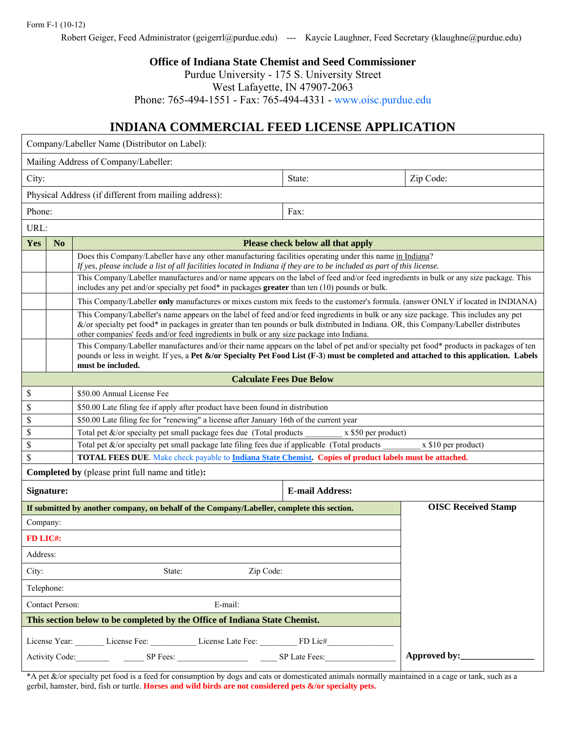## Form F-1 (10-12)

Robert Geiger, Feed Administrator (geigerrl@purdue.edu) --- Kaycie Laughner, Feed Secretary (klaughne@purdue.edu)

**Office of Indiana State Chemist and Seed Commissioner** 

Purdue University - 175 S. University Street

West Lafayette, IN 47907-2063

Phone: 765-494-1551 - Fax: 765-494-4331 - www.oisc.purdue.edu

## **INDIANA COMMERCIAL FEED LICENSE APPLICATION**

| Company/Labeller Name (Distributor on Label):                              |                                                                                                                             |                                                                                                                                                                                                                                                                                                                                                                           |                                   |              |  |  |
|----------------------------------------------------------------------------|-----------------------------------------------------------------------------------------------------------------------------|---------------------------------------------------------------------------------------------------------------------------------------------------------------------------------------------------------------------------------------------------------------------------------------------------------------------------------------------------------------------------|-----------------------------------|--------------|--|--|
| Mailing Address of Company/Labeller:                                       |                                                                                                                             |                                                                                                                                                                                                                                                                                                                                                                           |                                   |              |  |  |
| City:                                                                      |                                                                                                                             |                                                                                                                                                                                                                                                                                                                                                                           | State:                            | Zip Code:    |  |  |
| Physical Address (if different from mailing address):                      |                                                                                                                             |                                                                                                                                                                                                                                                                                                                                                                           |                                   |              |  |  |
| Phone:                                                                     |                                                                                                                             |                                                                                                                                                                                                                                                                                                                                                                           | Fax:                              |              |  |  |
| URL:                                                                       |                                                                                                                             |                                                                                                                                                                                                                                                                                                                                                                           |                                   |              |  |  |
| Yes                                                                        | N <sub>o</sub>                                                                                                              |                                                                                                                                                                                                                                                                                                                                                                           | Please check below all that apply |              |  |  |
|                                                                            |                                                                                                                             | Does this Company/Labeller have any other manufacturing facilities operating under this name in Indiana?<br>If yes, please include a list of all facilities located in Indiana if they are to be included as part of this license.                                                                                                                                        |                                   |              |  |  |
|                                                                            |                                                                                                                             | This Company/Labeller manufactures and/or name appears on the label of feed and/or feed ingredients in bulk or any size package. This<br>includes any pet and/or specialty pet food* in packages greater than ten $(10)$ pounds or bulk.                                                                                                                                  |                                   |              |  |  |
|                                                                            |                                                                                                                             | This Company/Labeller only manufactures or mixes custom mix feeds to the customer's formula. (answer ONLY if located in INDIANA)                                                                                                                                                                                                                                          |                                   |              |  |  |
|                                                                            |                                                                                                                             | This Company/Labeller's name appears on the label of feed and/or feed ingredients in bulk or any size package. This includes any pet<br>&/or specialty pet food* in packages in greater than ten pounds or bulk distributed in Indiana. OR, this Company/Labeller distributes<br>other companies' feeds and/or feed ingredients in bulk or any size package into Indiana. |                                   |              |  |  |
|                                                                            |                                                                                                                             | This Company/Labeller manufactures and/or their name appears on the label of pet and/or specialty pet food* products in packages of ten<br>pounds or less in weight. If yes, a Pet $\&$ /or Specialty Pet Food List (F-3) must be completed and attached to this application. Labels<br>must be included.                                                                 |                                   |              |  |  |
| <b>Calculate Fees Due Below</b>                                            |                                                                                                                             |                                                                                                                                                                                                                                                                                                                                                                           |                                   |              |  |  |
| \$                                                                         | \$50.00 Annual License Fee                                                                                                  |                                                                                                                                                                                                                                                                                                                                                                           |                                   |              |  |  |
| \$                                                                         | \$50.00 Late filing fee if apply after product have been found in distribution                                              |                                                                                                                                                                                                                                                                                                                                                                           |                                   |              |  |  |
| \$                                                                         | \$50.00 Late filing fee for "renewing" a license after January 16th of the current year                                     |                                                                                                                                                                                                                                                                                                                                                                           |                                   |              |  |  |
|                                                                            | \$<br>Total pet $\&$ /or specialty pet small package fees due (Total products<br>x \$50 per product)                        |                                                                                                                                                                                                                                                                                                                                                                           |                                   |              |  |  |
| \$                                                                         |                                                                                                                             | Total pet &/or specialty pet small package late filing fees due if applicable (Total products<br>x \$10 per product)                                                                                                                                                                                                                                                      |                                   |              |  |  |
|                                                                            | \$<br><b>TOTAL FEES DUE.</b> Make check payable to <b>Indiana State Chemist. Copies of product labels must be attached.</b> |                                                                                                                                                                                                                                                                                                                                                                           |                                   |              |  |  |
| Completed by (please print full name and title):                           |                                                                                                                             |                                                                                                                                                                                                                                                                                                                                                                           |                                   |              |  |  |
| <b>E-mail Address:</b><br>Signature:                                       |                                                                                                                             |                                                                                                                                                                                                                                                                                                                                                                           |                                   |              |  |  |
|                                                                            |                                                                                                                             | If submitted by another company, on behalf of the Company/Labeller, complete this section.                                                                                                                                                                                                                                                                                | <b>OISC Received Stamp</b>        |              |  |  |
| Company:                                                                   |                                                                                                                             |                                                                                                                                                                                                                                                                                                                                                                           |                                   |              |  |  |
| FD LIC#:                                                                   |                                                                                                                             |                                                                                                                                                                                                                                                                                                                                                                           |                                   |              |  |  |
| Address:                                                                   |                                                                                                                             |                                                                                                                                                                                                                                                                                                                                                                           |                                   |              |  |  |
| City:                                                                      |                                                                                                                             | State:<br>Zip Code:                                                                                                                                                                                                                                                                                                                                                       |                                   |              |  |  |
| Telephone:                                                                 |                                                                                                                             |                                                                                                                                                                                                                                                                                                                                                                           |                                   |              |  |  |
| Contact Person:                                                            |                                                                                                                             | E-mail:                                                                                                                                                                                                                                                                                                                                                                   |                                   |              |  |  |
| This section below to be completed by the Office of Indiana State Chemist. |                                                                                                                             |                                                                                                                                                                                                                                                                                                                                                                           |                                   |              |  |  |
|                                                                            |                                                                                                                             | License Year: License Fee: License Late Fee: FD Lic#                                                                                                                                                                                                                                                                                                                      |                                   |              |  |  |
|                                                                            |                                                                                                                             | Activity Code: SP Fees: SP Late Fees:                                                                                                                                                                                                                                                                                                                                     |                                   | Approved by: |  |  |

\*A pet &/or specialty pet food is a feed for consumption by dogs and cats or domesticated animals normally maintained in a cage or tank, such as a gerbil, hamster, bird, fish or turtle. **Horses and wild birds are not considered pets &/or specialty pets.**